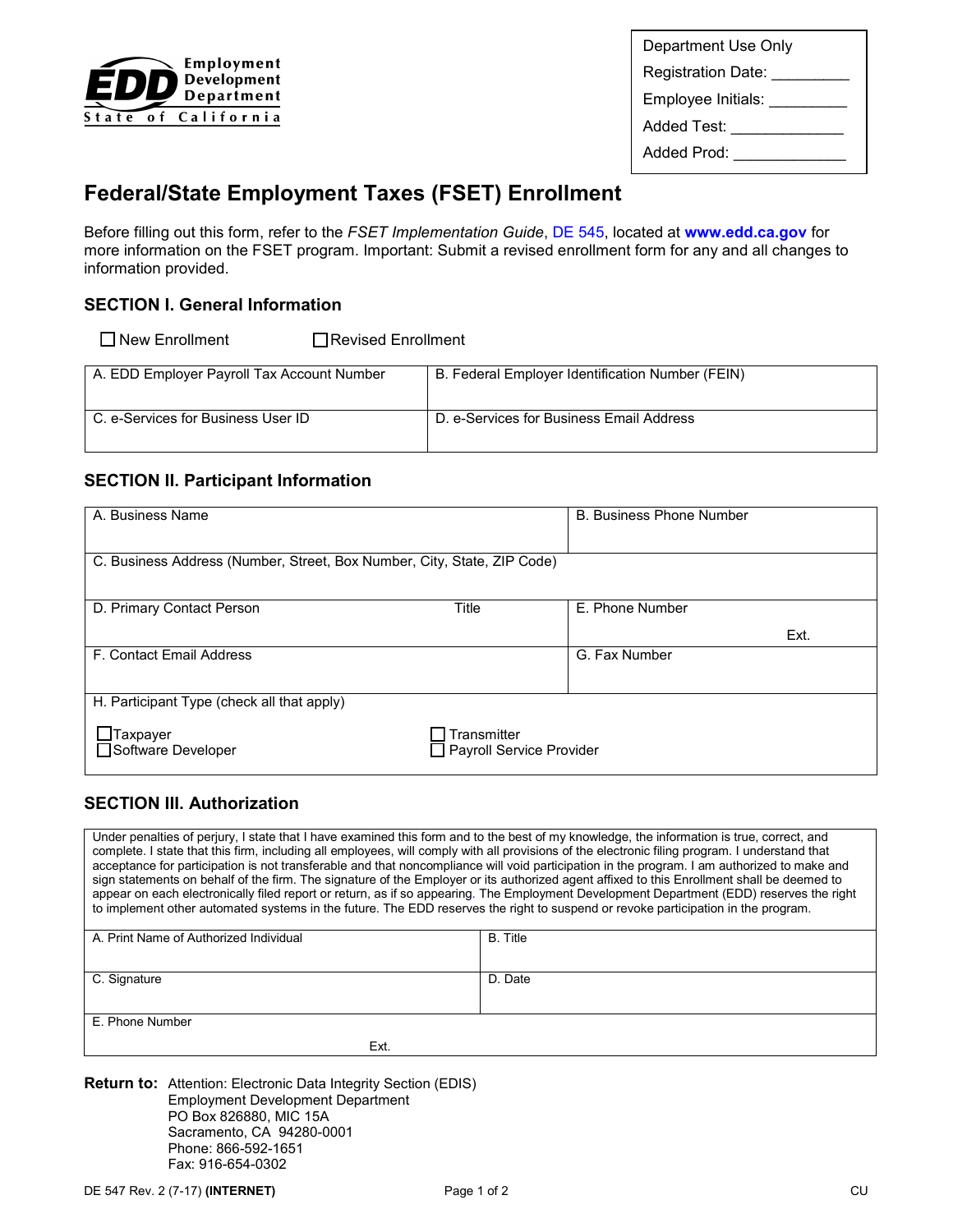

Department Use Only Registration Date: \_\_\_\_\_\_\_\_\_\_ Employee Initials: \_\_\_\_\_\_\_\_\_\_ Added Test: \_\_\_\_\_\_\_\_\_\_\_\_\_\_\_\_\_ Added Prod: \_\_\_\_\_\_\_\_\_\_\_\_\_\_\_

# **Federal/State Employment Taxes (FSET) Enrollment**

Before filling out this form, refer to the *FSET Implementation Guide*, [DE 545,](http://www.edd.ca.gov/pdf_pub_ctr/de545.pdf) located at **[www.edd.ca.gov](http://www.edd.ca.gov/)** for more information on the FSET program. Important: Submit a revised enrollment form for any and all changes to information provided.

# **SECTION I. General Information**

 $\Box$  New Enrollment  $\Box$  Revised Enrollment

| A. EDD Employer Payroll Tax Account Number | B. Federal Employer Identification Number (FEIN) |
|--------------------------------------------|--------------------------------------------------|
| C. e-Services for Business User ID         | D. e-Services for Business Email Address         |

## **SECTION II. Participant Information**

| A. Business Name                                                        |                                         | <b>B. Business Phone Number</b> |  |
|-------------------------------------------------------------------------|-----------------------------------------|---------------------------------|--|
| C. Business Address (Number, Street, Box Number, City, State, ZIP Code) |                                         |                                 |  |
| D. Primary Contact Person                                               | Title                                   | E. Phone Number                 |  |
|                                                                         |                                         | Ext.                            |  |
| F. Contact Email Address                                                |                                         | G. Fax Number                   |  |
| H. Participant Type (check all that apply)                              |                                         |                                 |  |
| Taxpayer<br>Software Developer                                          | Transmitter<br>Payroll Service Provider |                                 |  |

# **SECTION III. Authorization**

 Under penalties of perjury, I state that I have examined this form and to the best of my knowledge, the information is true, correct, and complete. I state that this firm, including all employees, will comply with all provisions of the electronic filing program. I understand that to implement other automated systems in the future. The EDD reserves the right to suspend or revoke participation in the program. acceptance for participation is not transferable and that noncompliance will void participation in the program. I am authorized to make and sign statements on behalf of the firm. The signature of the Employer or its authorized agent affixed to this Enrollment shall be deemed to appear on each electronically filed report or return, as if so appearing. The Employment Development Department (EDD) reserves the right

| A. Print Name of Authorized Individual | B. Title |
|----------------------------------------|----------|
|                                        |          |
|                                        |          |
| C. Signature                           | D. Date  |
|                                        |          |
|                                        |          |
| E. Phone Number                        |          |
|                                        |          |
| Ext.                                   |          |

**Return to:** Attention: Electronic Data Integrity Section (EDIS) Employment Development Department PO Box 826880, MIC 15A Sacramento, CA 94280-0001 Phone: 866-592-1651 Fax: 916-654-0302